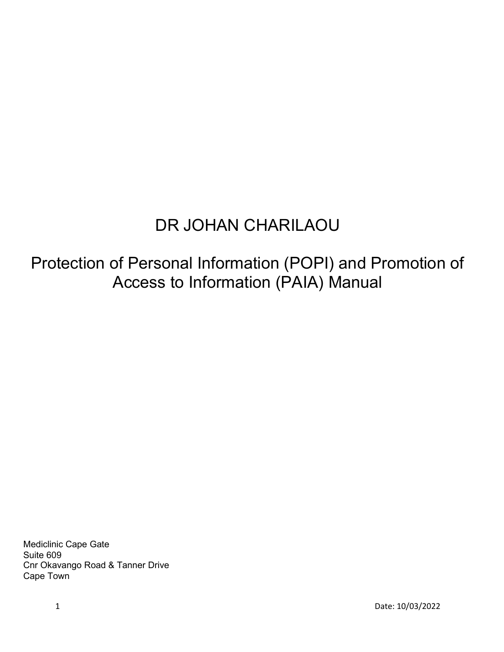# DR JOHAN CHARILAOU

Protection of Personal Information (POPI) and Promotion of Access to Information (PAIA) Manual

Mediclinic Cape Gate Suite 609 Cnr Okavango Road & Tanner Drive Cape Town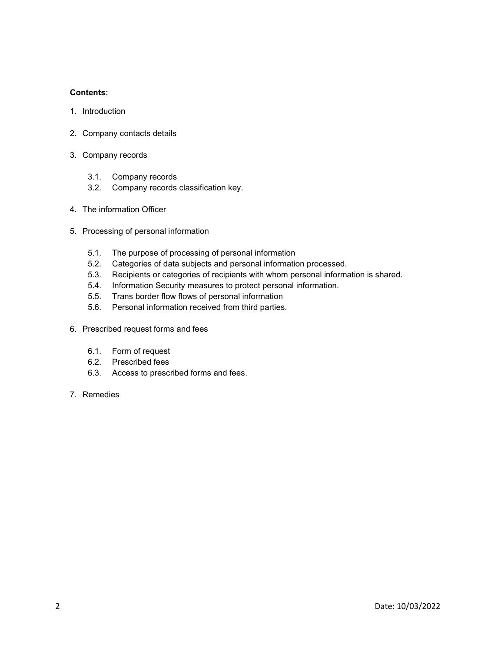## Contents:

- 1. Introduction
- 2. Company contacts details
- 3. Company records
	- 3.1. Company records
	- 3.2. Company records classification key.
- 4. The information Officer
- 5. Processing of personal information
	- 5.1. The purpose of processing of personal information
	- 5.2. Categories of data subjects and personal information processed.
	- 5.3. Recipients or categories of recipients with whom personal information is shared.
	- 5.4. Information Security measures to protect personal information.
	- 5.5. Trans border flow flows of personal information
	- 5.6. Personal information received from third parties.
- 6. Prescribed request forms and fees
	- 6.1. Form of request
	- 6.2. Prescribed fees
	- 6.3. Access to prescribed forms and fees.
- 7. Remedies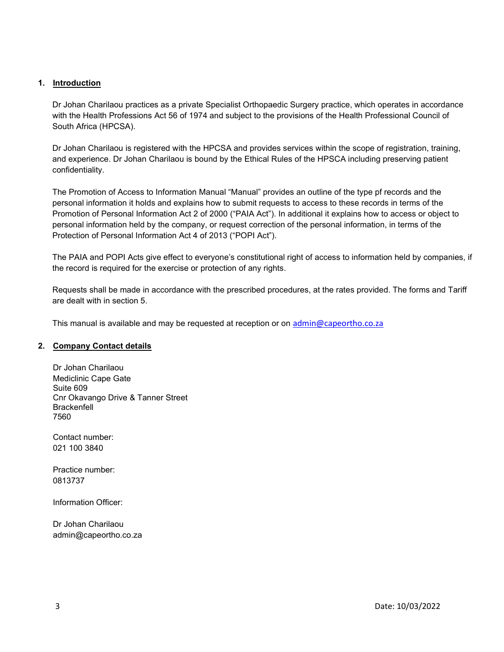## 1. Introduction

Dr Johan Charilaou practices as a private Specialist Orthopaedic Surgery practice, which operates in accordance with the Health Professions Act 56 of 1974 and subject to the provisions of the Health Professional Council of South Africa (HPCSA).

Dr Johan Charilaou is registered with the HPCSA and provides services within the scope of registration, training, and experience. Dr Johan Charilaou is bound by the Ethical Rules of the HPSCA including preserving patient confidentiality.

The Promotion of Access to Information Manual "Manual" provides an outline of the type pf records and the personal information it holds and explains how to submit requests to access to these records in terms of the Promotion of Personal Information Act 2 of 2000 ("PAIA Act"). In additional it explains how to access or object to personal information held by the company, or request correction of the personal information, in terms of the Protection of Personal Information Act 4 of 2013 ("POPI Act").

The PAIA and POPI Acts give effect to everyone's constitutional right of access to information held by companies, if the record is required for the exercise or protection of any rights.

Requests shall be made in accordance with the prescribed procedures, at the rates provided. The forms and Tariff are dealt with in section 5.

This manual is available and may be requested at reception or on admin@capeortho.co.za

## 2. Company Contact details

Dr Johan Charilaou Mediclinic Cape Gate Suite 609 Cnr Okavango Drive & Tanner Street **Brackenfell** 7560

Contact number: 021 100 3840

Practice number: 0813737

Information Officer:

Dr Johan Charilaou admin@capeortho.co.za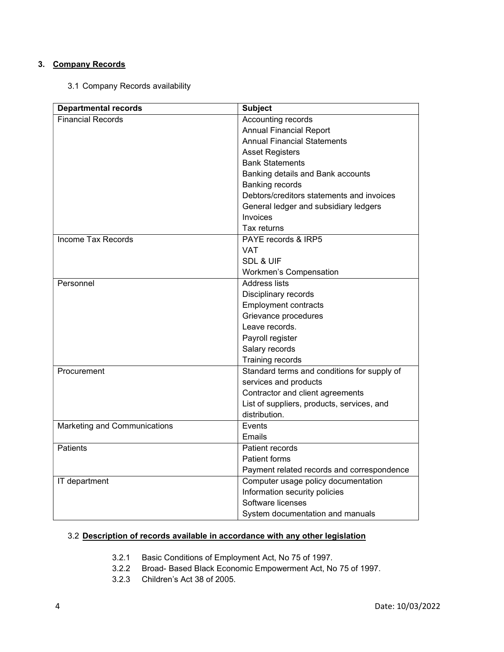# 3. Company Records

3.1 Company Records availability

| <b>Departmental records</b>  | <b>Subject</b>                              |
|------------------------------|---------------------------------------------|
| <b>Financial Records</b>     | Accounting records                          |
|                              | <b>Annual Financial Report</b>              |
|                              | <b>Annual Financial Statements</b>          |
|                              | <b>Asset Registers</b>                      |
|                              | <b>Bank Statements</b>                      |
|                              | Banking details and Bank accounts           |
|                              | <b>Banking records</b>                      |
|                              | Debtors/creditors statements and invoices   |
|                              | General ledger and subsidiary ledgers       |
|                              | Invoices                                    |
|                              | Tax returns                                 |
| <b>Income Tax Records</b>    | PAYE records & IRP5                         |
|                              | <b>VAT</b>                                  |
|                              | <b>SDL &amp; UIF</b>                        |
|                              | Workmen's Compensation                      |
| Personnel                    | <b>Address lists</b>                        |
|                              | Disciplinary records                        |
|                              | <b>Employment contracts</b>                 |
|                              | Grievance procedures                        |
|                              | Leave records.                              |
|                              | Payroll register                            |
|                              | Salary records                              |
|                              | Training records                            |
| Procurement                  | Standard terms and conditions for supply of |
|                              | services and products                       |
|                              | Contractor and client agreements            |
|                              | List of suppliers, products, services, and  |
|                              | distribution.                               |
| Marketing and Communications | Events                                      |
|                              | Emails                                      |
| <b>Patients</b>              | Patient records                             |
|                              | <b>Patient forms</b>                        |
|                              | Payment related records and correspondence  |
| IT department                | Computer usage policy documentation         |
|                              | Information security policies               |
|                              | Software licenses                           |
|                              | System documentation and manuals            |

## 3.2 Description of records available in accordance with any other legislation

- 3.2.1 Basic Conditions of Employment Act, No 75 of 1997.
- 3.2.2 Broad- Based Black Economic Empowerment Act, No 75 of 1997.
- 3.2.3 Children's Act 38 of 2005.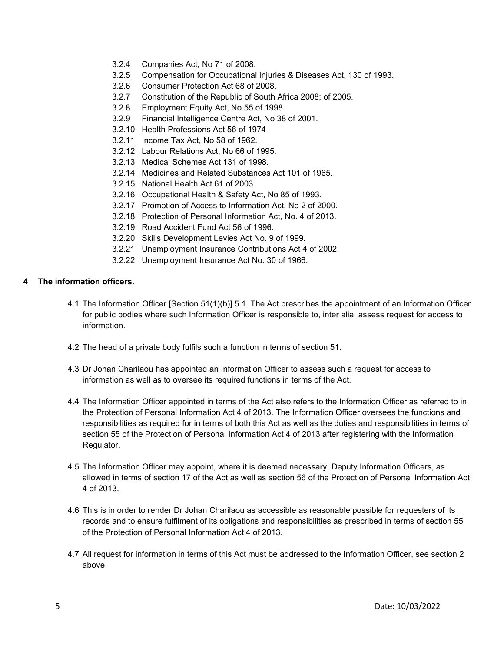- 3.2.4 Companies Act, No 71 of 2008.
- 3.2.5 Compensation for Occupational Injuries & Diseases Act, 130 of 1993.
- 3.2.6 Consumer Protection Act 68 of 2008.
- 3.2.7 Constitution of the Republic of South Africa 2008; of 2005.
- 3.2.8 Employment Equity Act, No 55 of 1998.
- 3.2.9 Financial Intelligence Centre Act, No 38 of 2001.
- 3.2.10 Health Professions Act 56 of 1974
- 3.2.11 Income Tax Act, No 58 of 1962.
- 3.2.12 Labour Relations Act, No 66 of 1995.
- 3.2.13 Medical Schemes Act 131 of 1998.
- 3.2.14 Medicines and Related Substances Act 101 of 1965.
- 3.2.15 National Health Act 61 of 2003.
- 3.2.16 Occupational Health & Safety Act, No 85 of 1993.
- 3.2.17 Promotion of Access to Information Act, No 2 of 2000.
- 3.2.18 Protection of Personal Information Act, No. 4 of 2013.
- 3.2.19 Road Accident Fund Act 56 of 1996.
- 3.2.20 Skills Development Levies Act No. 9 of 1999.
- 3.2.21 Unemployment Insurance Contributions Act 4 of 2002.
- 3.2.22 Unemployment Insurance Act No. 30 of 1966.

## 4 The information officers.

- 4.1 The Information Officer [Section 51(1)(b)] 5.1. The Act prescribes the appointment of an Information Officer for public bodies where such Information Officer is responsible to, inter alia, assess request for access to information.
- 4.2 The head of a private body fulfils such a function in terms of section 51.
- 4.3 Dr Johan Charilaou has appointed an Information Officer to assess such a request for access to information as well as to oversee its required functions in terms of the Act.
- 4.4 The Information Officer appointed in terms of the Act also refers to the Information Officer as referred to in the Protection of Personal Information Act 4 of 2013. The Information Officer oversees the functions and responsibilities as required for in terms of both this Act as well as the duties and responsibilities in terms of section 55 of the Protection of Personal Information Act 4 of 2013 after registering with the Information Regulator.
- 4.5 The Information Officer may appoint, where it is deemed necessary, Deputy Information Officers, as allowed in terms of section 17 of the Act as well as section 56 of the Protection of Personal Information Act 4 of 2013.
- 4.6 This is in order to render Dr Johan Charilaou as accessible as reasonable possible for requesters of its records and to ensure fulfilment of its obligations and responsibilities as prescribed in terms of section 55 of the Protection of Personal Information Act 4 of 2013.
- 4.7 All request for information in terms of this Act must be addressed to the Information Officer, see section 2 above.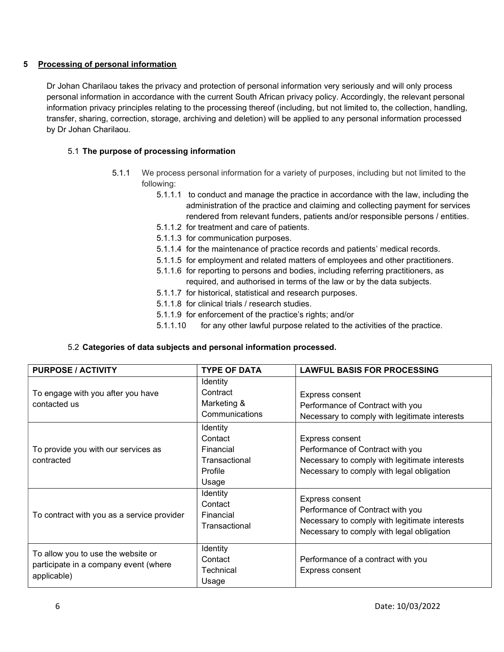# 5 Processing of personal information

Dr Johan Charilaou takes the privacy and protection of personal information very seriously and will only process personal information in accordance with the current South African privacy policy. Accordingly, the relevant personal information privacy principles relating to the processing thereof (including, but not limited to, the collection, handling, transfer, sharing, correction, storage, archiving and deletion) will be applied to any personal information processed by Dr Johan Charilaou.

# 5.1 The purpose of processing information

- 5.1.1 We process personal information for a variety of purposes, including but not limited to the following:
	- 5.1.1.1 to conduct and manage the practice in accordance with the law, including the administration of the practice and claiming and collecting payment for services rendered from relevant funders, patients and/or responsible persons / entities.
	- 5.1.1.2 for treatment and care of patients.
	- 5.1.1.3 for communication purposes.
	- 5.1.1.4 for the maintenance of practice records and patients' medical records.
	- 5.1.1.5 for employment and related matters of employees and other practitioners.
	- 5.1.1.6 for reporting to persons and bodies, including referring practitioners, as required, and authorised in terms of the law or by the data subjects.
	- 5.1.1.7 for historical, statistical and research purposes.
	- 5.1.1.8 for clinical trials / research studies.
	- 5.1.1.9 for enforcement of the practice's rights; and/or
	- 5.1.1.10 for any other lawful purpose related to the activities of the practice.

## 5.2 Categories of data subjects and personal information processed.

| <b>PURPOSE / ACTIVITY</b>                                                                  | <b>TYPE OF DATA</b>                                                          | <b>LAWFUL BASIS FOR PROCESSING</b>                                                                                                                |
|--------------------------------------------------------------------------------------------|------------------------------------------------------------------------------|---------------------------------------------------------------------------------------------------------------------------------------------------|
| To engage with you after you have<br>contacted us                                          | Identity<br>Contract<br>Marketing &<br>Communications                        | <b>Express consent</b><br>Performance of Contract with you<br>Necessary to comply with legitimate interests                                       |
| To provide you with our services as<br>contracted                                          | <b>Identity</b><br>Contact<br>Financial<br>Transactional<br>Profile<br>Usage | Express consent<br>Performance of Contract with you<br>Necessary to comply with legitimate interests<br>Necessary to comply with legal obligation |
| To contract with you as a service provider                                                 | Identity<br>Contact<br>Financial<br>Transactional                            | Express consent<br>Performance of Contract with you<br>Necessary to comply with legitimate interests<br>Necessary to comply with legal obligation |
| To allow you to use the website or<br>participate in a company event (where<br>applicable) | Identity<br>Contact<br>Technical<br>Usage                                    | Performance of a contract with you<br>Express consent                                                                                             |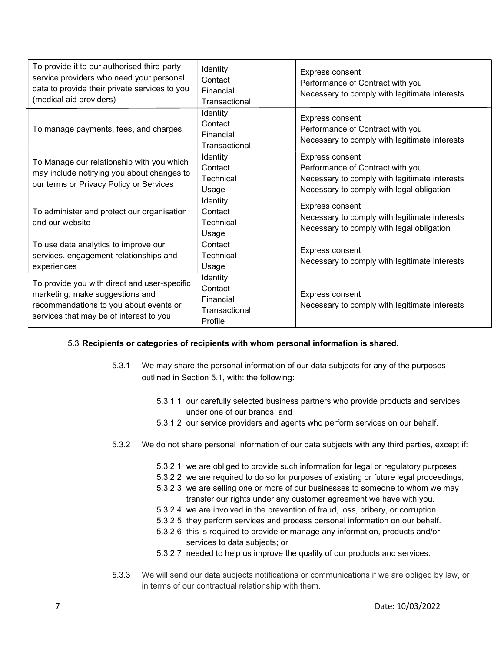| To provide it to our authorised third-party<br>service providers who need your personal<br>data to provide their private services to you<br>(medical aid providers)  | Identity<br>Contact<br>Financial<br>Transactional            | Express consent<br>Performance of Contract with you<br>Necessary to comply with legitimate interests                                              |
|----------------------------------------------------------------------------------------------------------------------------------------------------------------------|--------------------------------------------------------------|---------------------------------------------------------------------------------------------------------------------------------------------------|
| To manage payments, fees, and charges                                                                                                                                | Identity<br>Contact<br>Financial<br>Transactional            | Express consent<br>Performance of Contract with you<br>Necessary to comply with legitimate interests                                              |
| To Manage our relationship with you which<br>may include notifying you about changes to<br>our terms or Privacy Policy or Services                                   | Identity<br>Contact<br>Technical<br>Usage                    | Express consent<br>Performance of Contract with you<br>Necessary to comply with legitimate interests<br>Necessary to comply with legal obligation |
| To administer and protect our organisation<br>and our website                                                                                                        | Identity<br>Contact<br>Technical<br>Usage                    | Express consent<br>Necessary to comply with legitimate interests<br>Necessary to comply with legal obligation                                     |
| To use data analytics to improve our<br>services, engagement relationships and<br>experiences                                                                        | Contact<br>Technical<br>Usage                                | Express consent<br>Necessary to comply with legitimate interests                                                                                  |
| To provide you with direct and user-specific<br>marketing, make suggestions and<br>recommendations to you about events or<br>services that may be of interest to you | Identity<br>Contact<br>Financial<br>Transactional<br>Profile | Express consent<br>Necessary to comply with legitimate interests                                                                                  |

# 5.3 Recipients or categories of recipients with whom personal information is shared.

- 5.3.1 We may share the personal information of our data subjects for any of the purposes outlined in Section 5.1, with: the following:
	- 5.3.1.1 our carefully selected business partners who provide products and services under one of our brands; and
	- 5.3.1.2 our service providers and agents who perform services on our behalf.
- 5.3.2 We do not share personal information of our data subjects with any third parties, except if:
	- 5.3.2.1 we are obliged to provide such information for legal or regulatory purposes.
	- 5.3.2.2 we are required to do so for purposes of existing or future legal proceedings,
	- 5.3.2.3 we are selling one or more of our businesses to someone to whom we may transfer our rights under any customer agreement we have with you.
	- 5.3.2.4 we are involved in the prevention of fraud, loss, bribery, or corruption.
	- 5.3.2.5 they perform services and process personal information on our behalf.
	- 5.3.2.6 this is required to provide or manage any information, products and/or services to data subjects; or
	- 5.3.2.7 needed to help us improve the quality of our products and services.
- 5.3.3 We will send our data subjects notifications or communications if we are obliged by law, or in terms of our contractual relationship with them.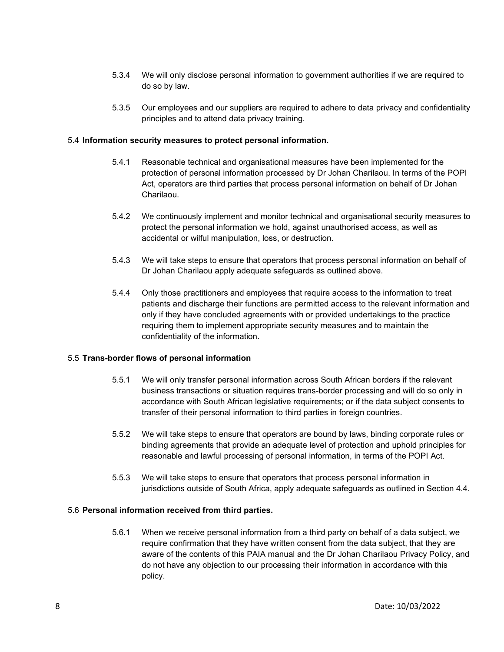- 5.3.4 We will only disclose personal information to government authorities if we are required to do so by law.
- 5.3.5 Our employees and our suppliers are required to adhere to data privacy and confidentiality principles and to attend data privacy training.

## 5.4 Information security measures to protect personal information.

- 5.4.1 Reasonable technical and organisational measures have been implemented for the protection of personal information processed by Dr Johan Charilaou. In terms of the POPI Act, operators are third parties that process personal information on behalf of Dr Johan Charilaou.
- 5.4.2 We continuously implement and monitor technical and organisational security measures to protect the personal information we hold, against unauthorised access, as well as accidental or wilful manipulation, loss, or destruction.
- 5.4.3 We will take steps to ensure that operators that process personal information on behalf of Dr Johan Charilaou apply adequate safeguards as outlined above.
- 5.4.4 Only those practitioners and employees that require access to the information to treat patients and discharge their functions are permitted access to the relevant information and only if they have concluded agreements with or provided undertakings to the practice requiring them to implement appropriate security measures and to maintain the confidentiality of the information.

## 5.5 Trans-border flows of personal information

- 5.5.1 We will only transfer personal information across South African borders if the relevant business transactions or situation requires trans-border processing and will do so only in accordance with South African legislative requirements; or if the data subject consents to transfer of their personal information to third parties in foreign countries.
- 5.5.2 We will take steps to ensure that operators are bound by laws, binding corporate rules or binding agreements that provide an adequate level of protection and uphold principles for reasonable and lawful processing of personal information, in terms of the POPI Act.
- 5.5.3 We will take steps to ensure that operators that process personal information in jurisdictions outside of South Africa, apply adequate safeguards as outlined in Section 4.4.

## 5.6 Personal information received from third parties.

5.6.1 When we receive personal information from a third party on behalf of a data subject, we require confirmation that they have written consent from the data subject, that they are aware of the contents of this PAIA manual and the Dr Johan Charilaou Privacy Policy, and do not have any objection to our processing their information in accordance with this policy.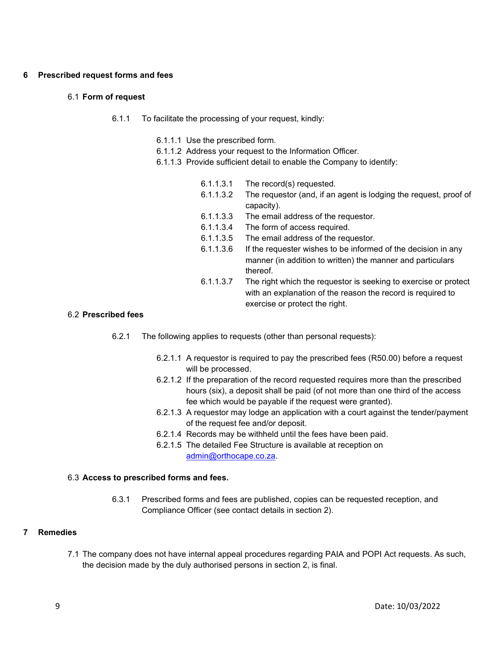## 6 Prescribed request forms and fees

## 6.1 Form of request

- 6.1.1 To facilitate the processing of your request, kindly:
	- 6.1.1.1 Use the prescribed form.
	- 6.1.1.2 Address your request to the Information Officer.
	- 6.1.1.3 Provide sufficient detail to enable the Company to identify:
		- 6.1.1.3.1 The record(s) requested.
		- 6.1.1.3.2 The requestor (and, if an agent is lodging the request, proof of capacity).
		- 6.1.1.3.3 The email address of the requestor.
		- 6.1.1.3.4 The form of access required.
		- 6.1.1.3.5 The email address of the requestor.
		- 6.1.1.3.6 If the requester wishes to be informed of the decision in any manner (in addition to written) the manner and particulars thereof.
		- 6.1.1.3.7 The right which the requestor is seeking to exercise or protect with an explanation of the reason the record is required to exercise or protect the right.

## 6.2 Prescribed fees

- 6.2.1 The following applies to requests (other than personal requests):
	- 6.2.1.1 A requestor is required to pay the prescribed fees (R50.00) before a request will be processed.
	- 6.2.1.2 If the preparation of the record requested requires more than the prescribed hours (six), a deposit shall be paid (of not more than one third of the access fee which would be payable if the request were granted).
	- 6.2.1.3 A requestor may lodge an application with a court against the tender/payment of the request fee and/or deposit.
	- 6.2.1.4 Records may be withheld until the fees have been paid.
	- 6.2.1.5 The detailed Fee Structure is available at reception on admin@orthocape.co.za.

#### 6.3 Access to prescribed forms and fees.

6.3.1 Prescribed forms and fees are published, copies can be requested reception, and Compliance Officer (see contact details in section 2).

## 7 Remedies

7.1 The company does not have internal appeal procedures regarding PAIA and POPI Act requests. As such, the decision made by the duly authorised persons in section 2, is final.